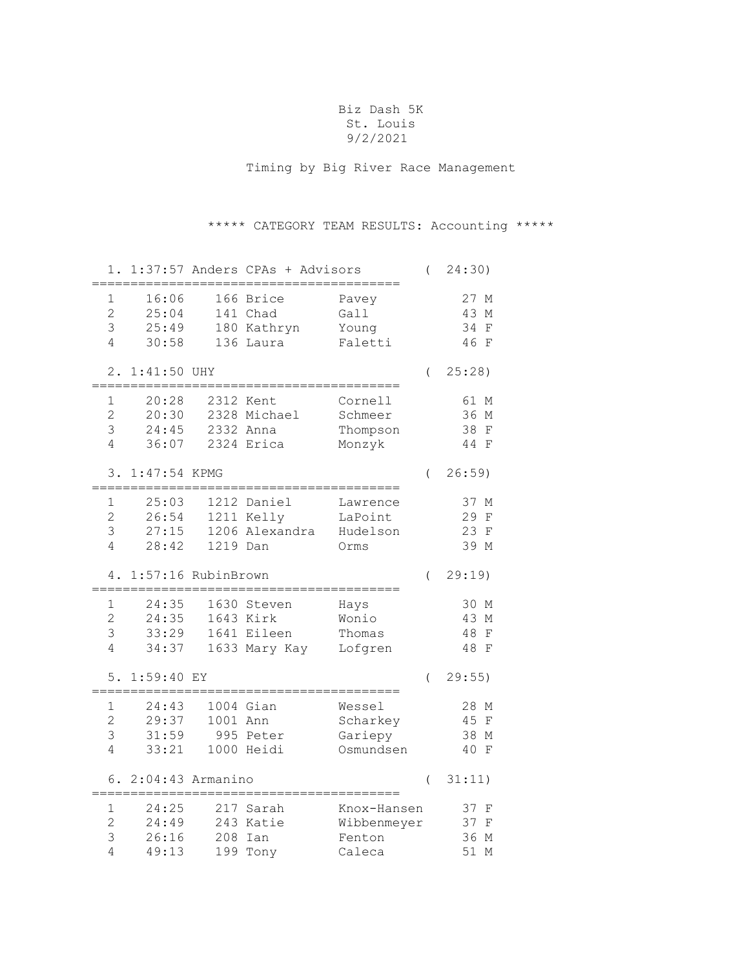#### Biz Dash 5K St. Louis 9/2/2021

Timing by Big River Race Management

# \*\*\*\*\* CATEGORY TEAM RESULTS: Accounting \*\*\*\*\*

| 1.                                         |                                      |            | 1:37:57 Anders CPAs + Advisors                           |                                                | $\overline{(}$   | 24:30)                                                  |
|--------------------------------------------|--------------------------------------|------------|----------------------------------------------------------|------------------------------------------------|------------------|---------------------------------------------------------|
| 1<br>$\overline{2}$<br>3<br>4              | 16:06<br>25:04<br>25:49<br>30:58     |            | 166 Brice<br>141 Chad<br>180 Kathryn<br>136 Laura        | Pavey<br>Gall<br>Young<br>Faletti              |                  | 27 M<br>43<br>М<br>34<br>$\rm F$<br>46 F                |
| 2.                                         | $1:41:50$ UHY                        |            |                                                          |                                                | $\left($         | 25:28                                                   |
| 1<br>$\overline{2}$<br>3<br>$\overline{4}$ | 20:28<br>20:30<br>24:45<br>36:07     |            | 2312 Kent<br>2328 Michael<br>2332 Anna<br>2324 Erica     | Cornell<br>Schmeer<br>Thompson<br>Monzyk       |                  | 61 M<br>36 M<br>38<br>$\mathbf F$<br>44<br>$\mathbf{F}$ |
| 3.                                         | 1:47:54 KPMG                         |            |                                                          |                                                | $\left($         | $26:59$ )                                               |
| 1<br>$\overline{2}$<br>3<br>4              | 25:03<br>26:54<br>27:15<br>28:42     | 1219 Dan   | 1212 Daniel<br>1211 Kelly<br>1206 Alexandra              | Lawrence<br>LaPoint<br>Hudelson<br>Orms        |                  | 37 M<br>29<br>$\mathbf F$<br>23<br>$\;$ F<br>39 M       |
| 4.                                         | 1:57:16 RubinBrown                   |            |                                                          |                                                | $\left($         | 29:19                                                   |
| 1<br>$\overline{c}$<br>3<br>$\sqrt{4}$     | 24:35<br>24:35<br>33:29<br>34:37     |            | 1630 Steven<br>1643 Kirk<br>1641 Eileen<br>1633 Mary Kay | Hays<br>Wonio<br>Thomas<br>Lofgren             |                  | 30 M<br>43 M<br>48<br>$\rm F$<br>48 F                   |
| 5.                                         | 1:59:40<br>_________________________ | EY         |                                                          |                                                | $\overline{(\ }$ | 29:55)                                                  |
| 1<br>$\overline{2}$<br>3<br>4              | 24:43<br>29:37<br>31:59<br>33:21     | 1001 Ann   | 1004 Gian<br>995 Peter<br>1000 Heidi                     | Wessel<br>Scharkey<br>Gariepy<br>Osmundsen     |                  | 28 M<br>45<br>$\mathbf F$<br>38<br>М<br>40 F            |
|                                            | 6.<br>$2:04:43$ Armanino             |            |                                                          |                                                | $\overline{(\ }$ | 31:11)                                                  |
| 1<br>$\overline{2}$<br>3<br>4              | 24:25<br>24:49<br>26:16<br>49:13     | 208<br>199 | 217 Sarah<br>243 Katie<br>Ian<br>Tony                    | Knox-Hansen<br>Wibbenmeyer<br>Fenton<br>Caleca |                  | 37<br>F<br>37<br>F<br>36<br>М<br>51<br>М                |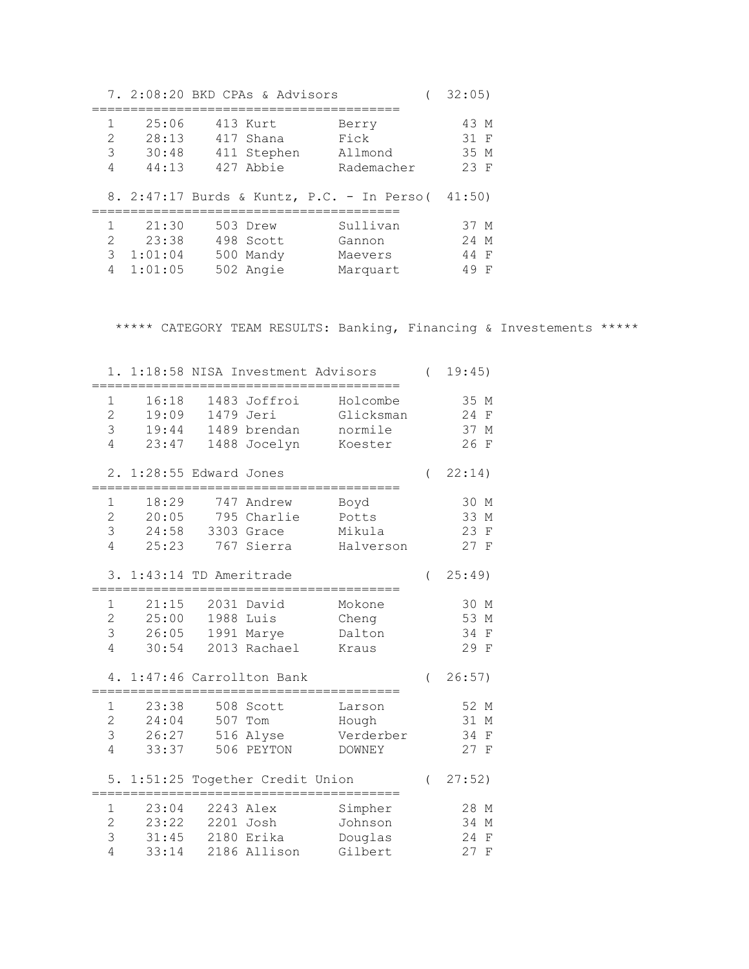|                                                                                                                                                                 |         | 7. 2:08:20 BKD CPAs & Advisors |                                            | 32:05) |
|-----------------------------------------------------------------------------------------------------------------------------------------------------------------|---------|--------------------------------|--------------------------------------------|--------|
| 1                                                                                                                                                               | 25:06   | 413 Kurt                       | Berry                                      | 43 M   |
| 2                                                                                                                                                               | 28:13   | 417 Shana                      | Fick                                       | 31 F   |
| 3                                                                                                                                                               | 30:48   | 411 Stephen                    | Allmond                                    | 35 M   |
| 4                                                                                                                                                               | 44:13   | 427 Abbie                      | Rademacher                                 | $23$ F |
|                                                                                                                                                                 |         |                                | 8. 2:47:17 Burds & Kuntz, P.C. - In Perso( | 41:50) |
| 1                                                                                                                                                               | 21:30   | 503 Drew                       | Sullivan                                   | 37 M   |
| $\mathcal{D}_{\mathcal{L}}^{\mathcal{L}}(\mathcal{L})=\mathcal{L}_{\mathcal{L}}^{\mathcal{L}}(\mathcal{L})\mathcal{L}_{\mathcal{L}}^{\mathcal{L}}(\mathcal{L})$ | 23:38   | 498 Scott                      | Gannon                                     | 24 M   |
| 3                                                                                                                                                               | 1:01:04 | 500 Mandy                      | Maevers                                    | 44 F   |
| 4                                                                                                                                                               | 1:01:05 | 502 Angie                      | Marquart                                   | 49 F   |

\*\*\*\*\* CATEGORY TEAM RESULTS: Banking, Financing & Investements \*\*\*\*\*

| 1.                                         |                                  |                      | 1:18:58 NISA Investment Advisors                     |                                               | $\overline{(\ }$ | 19:45)                                                              |
|--------------------------------------------|----------------------------------|----------------------|------------------------------------------------------|-----------------------------------------------|------------------|---------------------------------------------------------------------|
| 1<br>$\overline{2}$<br>3<br>$\overline{4}$ | 16:18<br>19:09<br>19:44<br>23:47 | 1488                 | 1483 Joffroi<br>1479 Jeri<br>1489 brendan<br>Jocelyn | Holcombe<br>Glicksman<br>normile<br>Koester   |                  | 35 M<br>24<br>$\mathbf F$<br>37<br>М<br>26<br>$\mathbf{F}$          |
| $2$ .                                      | 1:28:55 Edward Jones             |                      |                                                      |                                               | $\overline{(\ }$ | 22:14)                                                              |
| 1<br>$\overline{2}$<br>3<br>$\overline{4}$ | 18:29<br>20:05<br>24:58<br>25:23 | 795                  | 747 Andrew<br>Charlie<br>3303 Grace<br>767 Sierra    | Boyd<br>Potts<br>Mikula<br>Halverson          |                  | 30<br>М<br>33<br>М<br>23<br>$\mathbf F$<br>27<br>$\mathbf{F}$       |
| 3.                                         | 1:43:14 TD Ameritrade            |                      |                                                      |                                               | $\left($         | 25:49                                                               |
| 1<br>$\overline{2}$<br>3<br>$\overline{4}$ | 21:15<br>25:00<br>26:05<br>30:54 | 2031<br>1988<br>1991 | David<br>Luis<br>Marye<br>2013 Rachael               | Mokone<br>Cheng<br>Dalton<br>Kraus            |                  | 30<br>М<br>53<br>М<br>34<br>$\rm F$<br>29<br>$\mathbf{F}$           |
| 4.                                         |                                  |                      | 1:47:46 Carrollton Bank                              |                                               | $\left($         | 26:57)                                                              |
| 1<br>$\overline{2}$<br>3<br>$\overline{4}$ | 23:38<br>24:04<br>26:27<br>33:37 | 508<br>507<br>506    | Scott<br>Tom<br>516 Alyse<br>PEYTON                  | Larson<br>Hough<br>Verderber<br><b>DOWNEY</b> |                  | 52 M<br>31<br>$\mathbb M$<br>34<br>$\rm F$<br>27<br>$\mathbf{F}$    |
| 5.                                         |                                  |                      | 1:51:25 Together Credit Union<br>============        |                                               | $\left($         | 27:52)                                                              |
| 1<br>$\overline{2}$<br>3<br>$\overline{4}$ | 23:04<br>23:22<br>31:45<br>33:14 | 2201<br>2180         | 2243 Alex<br>Josh<br>Erika<br>2186 Allison           | Simpher<br>Johnson<br>Douglas<br>Gilbert      |                  | 28<br>$\mathbf{M}$<br>34<br>М<br>24<br>$\mathbf F$<br>27<br>$\rm F$ |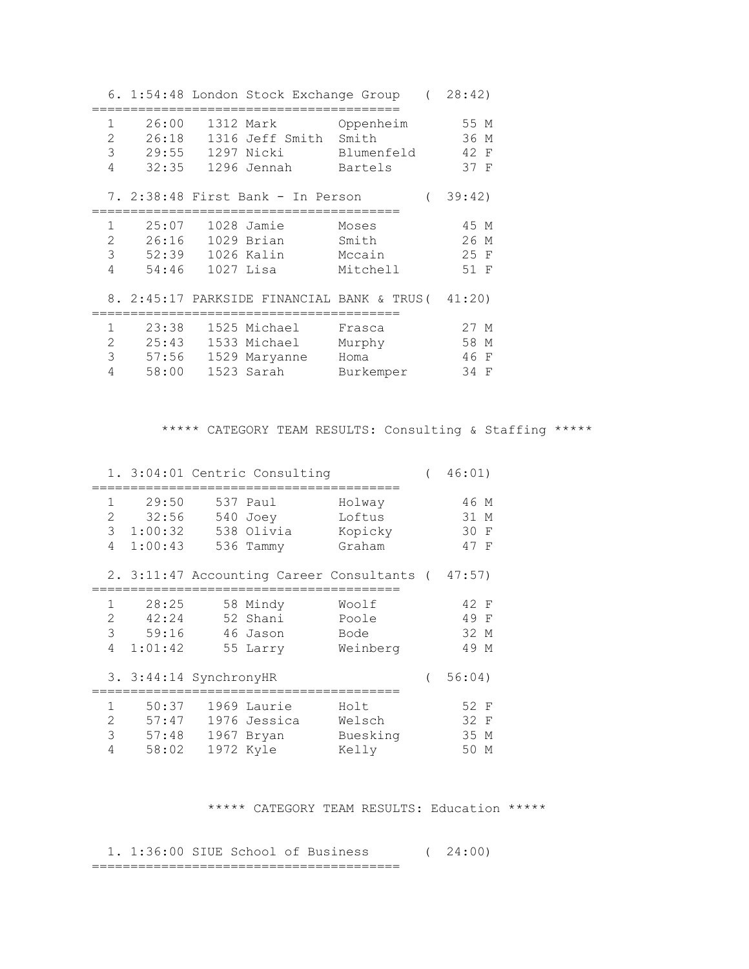|                                          |                                    |                  | 6. 1:54:48 London Stock Exchange Group (                                               |                                      | 28:42)                          |
|------------------------------------------|------------------------------------|------------------|----------------------------------------------------------------------------------------|--------------------------------------|---------------------------------|
| $\mathbf{1}$<br>$\overline{2}$<br>3<br>4 | 26:00<br>26:18<br>29:55<br>32:35   |                  | 1312 Mark Oppenheim 55 M<br>1316 Jeff Smith Smith<br>1297 Nicki<br>1296 Jennah Bartels | Blumenfeld                           | 36 M<br>42 F<br>37 F            |
|                                          |                                    |                  | 7. 2:38:48 First Bank - In Person                                                      |                                      | 39:42)                          |
| $\mathbf{1}$<br>2<br>3<br>4              | 25:07<br>52:39 1026 Kalin<br>54:46 | 26:16 1029 Brian | 1028 Jamie<br>1027 Lisa                                                                | Moses<br>Smith<br>Mccain<br>Mitchell | 45 M<br>26<br>M<br>25 F<br>51 F |
|                                          |                                    |                  | 8. 2:45:17 PARKSIDE FINANCIAL BANK & TRUS( 41:20)                                      |                                      |                                 |
| 1<br>$\overline{2}$<br>3<br>4            | 23:38<br>25:43<br>57:56<br>58:00   |                  | 1525 Michael Frasca<br>1533 Michael<br>1529 Maryanne<br>1523 Sarah                     | Murphy<br>Homa<br>Burkemper          | 27 M<br>58 M<br>46 F<br>34<br>F |

## \*\*\*\*\* CATEGORY TEAM RESULTS: Consulting & Staffing \*\*\*\*\*

|                                          |                                        | 1. 3:04:01 Centric Consulting                          |                                                   | 46:01)                                    |
|------------------------------------------|----------------------------------------|--------------------------------------------------------|---------------------------------------------------|-------------------------------------------|
| 1<br>$\overline{2}$<br>4                 | 29:50<br>32:56<br>3 1:00:32<br>1:00:43 | 537 Paul<br>540 Joey<br>538 Olivia<br>536 Tammy        | Holway<br>Loftus<br>Kopicky<br>Graham             | 46 M<br>31 M<br>30<br>- F<br>47 F         |
|                                          |                                        |                                                        | 2. 3:11:47 Accounting Career Consultants ( 47:57) |                                           |
| 1<br>$\mathcal{L}$<br>$\mathcal{E}$<br>4 | 28:25<br>42:24<br>59:16<br>1:01:42     | 58 Mindy<br>52 Shani<br>46 Jason<br>55 Larry           | Woolf<br>Poole<br>Bode<br>Weinberg                | 42 F<br>49 F<br>32 M<br>49 M              |
|                                          | 3. 3:44:14 SynchronyHR                 |                                                        |                                                   | 56:04)                                    |
| $\mathbf{1}$<br>$\overline{2}$<br>3<br>4 | 50:37<br>57:47<br>57:48<br>58:02       | 1969 Laurie<br>1976 Jessica<br>1967 Bryan<br>1972 Kyle | Holt<br>Welsch<br>Buesking<br>Kelly               | 52 F<br>32 F<br>35 M<br>50<br>$\mathbb M$ |

#### \*\*\*\*\* CATEGORY TEAM RESULTS: Education \*\*\*\*\*

 1. 1:36:00 SIUE School of Business ( 24:00) ========================================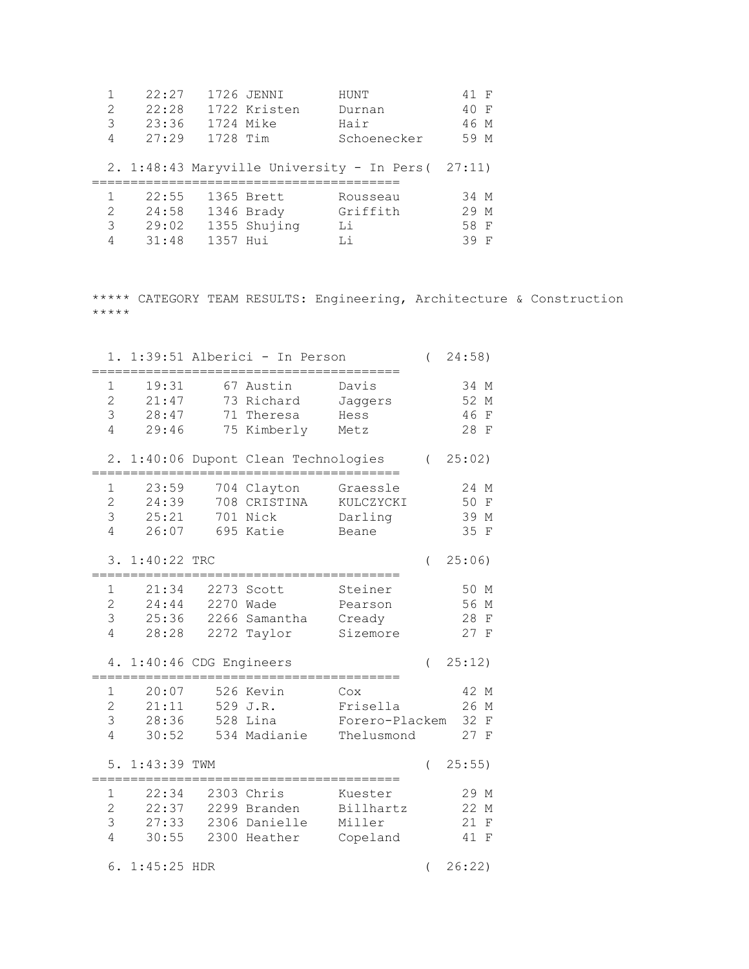|               | 22:27 |          | 1726 JENNI   | HUNT                                               | 41 F |
|---------------|-------|----------|--------------|----------------------------------------------------|------|
| 2             | 22:28 |          | 1722 Kristen | Durnan                                             | 40 F |
| 3             | 23:36 |          | 1724 Mike    | Hair                                               | 46 M |
| 4             | 27:29 | 1728 Tim |              | Schoenecker                                        | 59 M |
|               |       |          |              |                                                    |      |
|               |       |          |              | 2. 1:48:43 Maryville University - In Pers ( 27:11) |      |
|               |       |          |              |                                                    |      |
|               |       |          |              |                                                    |      |
|               | 22:55 |          | 1365 Brett   | Rousseau                                           | 34 M |
| $\mathcal{L}$ | 24:58 |          | 1346 Brady   | Griffith                                           | 29 M |
| 3             | 29:02 |          | 1355 Shujing | Li                                                 | 58 F |

\*\*\*\*\* CATEGORY TEAM RESULTS: Engineering, Architecture & Construction \*\*\*\*\*

|                                                      |                                                 |          | 1. 1:39:51 Alberici - In Person                             |                                                 | $\overline{(}$ | 24:58)                                                            |
|------------------------------------------------------|-------------------------------------------------|----------|-------------------------------------------------------------|-------------------------------------------------|----------------|-------------------------------------------------------------------|
| 1<br>$\overline{2}$<br>3<br>$\overline{4}$           | 19:31<br>21:47<br>28:47<br>29:46                |          | 67 Austin<br>73 Richard<br>71 Theresa<br>75 Kimberly        | Davis<br>Jaggers<br>Hess<br>Metz                |                | 34 M<br>52<br>$\mathbb M$<br>46<br>$\rm F$<br>28 F                |
|                                                      |                                                 |          | 2. 1:40:06 Dupont Clean Technologies                        |                                                 |                | (25:02)                                                           |
| 1<br>$\overline{2}$<br>3<br>$\overline{4}$           | 23:59<br>24:39<br>25:21<br>26:07                |          | 704 Clayton<br>708 CRISTINA<br>701 Nick<br>695 Katie        | Graessle<br>KULCZYCKI<br>Darling<br>Beane       |                | 24 M<br>50<br>$\mathbf F$<br>39 M<br>35 F                         |
| 3.                                                   | 1:40:22 TRC                                     |          |                                                             |                                                 | $\left($       | 25:06)                                                            |
| $\mathbf 1$<br>$\overline{2}$<br>3<br>4              | 21:34<br>24:44<br>25:36<br>28:28                |          | 2273 Scott<br>2270 Wade<br>2266 Samantha<br>2272 Taylor     | Steiner<br>Pearson<br>Cready<br>Sizemore        |                | 50 M<br>56<br>М<br>28<br>$\mathbf F$<br>27 F                      |
| 4.                                                   | $1:40:46$ CDG Engineers                         |          |                                                             |                                                 | $\left($       | 25:12)                                                            |
| $\mathbf 1$<br>$\overline{2}$<br>3<br>$\overline{4}$ | 20:07<br>21:11<br>28:36<br>30:52                | 528 Lina | 526 Kevin<br>529 J.R.<br>534 Madianie                       | Cox<br>Frisella<br>Forero-Plackem<br>Thelusmond |                | 42 M<br>26<br>$\mathbb M$<br>32<br>$_{\rm F}$<br>27 F             |
|                                                      | 5. 1:43:39 TWM                                  |          |                                                             |                                                 | $\left($       | 25:55)                                                            |
| $\mathbf 1$<br>$\overline{2}$<br>3<br>4<br>6.        | 22:34<br>22:37<br>27:33<br>30:55<br>1:45:25 HDR |          | 2303 Chris<br>2299 Branden<br>2306 Danielle<br>2300 Heather | Kuester<br>Billhartz<br>Miller<br>Copeland      | $\left($       | 29 M<br>22 M<br>21<br>$\mathbf F$<br>41<br>$\mathbf{F}$<br>26:22) |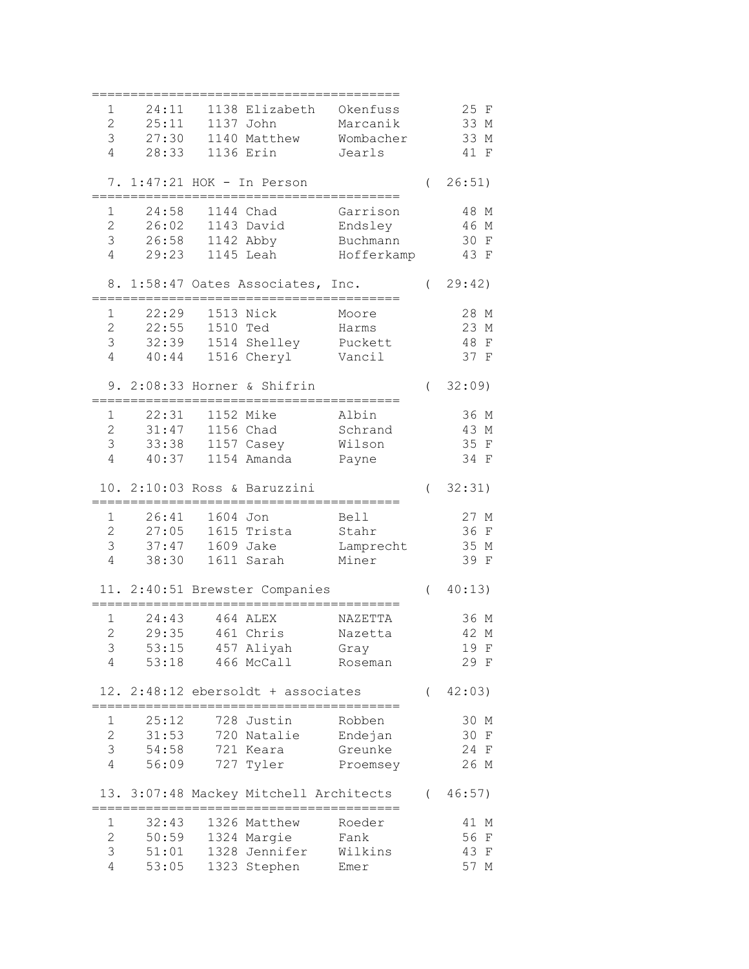| 1              | 24:11          |          | 1138 Elizabeth Okenfuss                |                 |          | 25 F               |
|----------------|----------------|----------|----------------------------------------|-----------------|----------|--------------------|
| $\overline{2}$ | 25:11          |          | 1137 John                              | Marcanik        |          | 33 M               |
| 3              | 27:30          |          | 1140 Matthew                           | Wombacher       |          | 33 M               |
| $\overline{4}$ | 28:33          |          | 1136 Erin                              |                 |          | $\mathbf{F}$       |
|                |                |          |                                        | Jearls          |          | 41                 |
|                |                |          | 7. 1:47:21 HOK - In Person             |                 | $\left($ | 26:51)             |
|                |                |          |                                        |                 |          |                    |
| 1              | 24:58          |          | 1144 Chad                              | Garrison        |          | 48 M               |
| $\overline{2}$ | 26:02          |          | 1143 David                             | Endsley         |          | 46 M               |
| 3              | 26:58          |          | 1142 Abby                              | Buchmann        |          | 30 F               |
| 4              | 29:23          |          | 1145 Leah                              | Hofferkamp      |          | 43 F               |
|                |                |          |                                        |                 |          |                    |
|                |                |          | 8. 1:58:47 Oates Associates, Inc.      |                 | $\left($ | 29:42)             |
|                |                |          |                                        |                 |          |                    |
| 1              | 22:29          |          | 1513 Nick                              | Moore           |          | 28 M               |
| 2              | 22:55          | 1510 Ted |                                        | Harms           |          | 23 M               |
| 3              | 32:39          |          | 1514 Shelley Puckett                   |                 |          | 48<br>$\mathbf{F}$ |
| 4              | 40:44          |          | 1516 Cheryl                            | Vancil          |          | 37 F               |
|                |                |          |                                        |                 |          |                    |
|                |                |          | 9. 2:08:33 Horner & Shifrin            |                 | $\left($ | 32:09              |
|                |                |          |                                        |                 |          |                    |
| 1              | 22:31          |          | 1152 Mike                              | Albin           |          | 36 M               |
| $\overline{c}$ | 31:47          |          | 1156 Chad                              | Schrand         |          | 43 M               |
| 3              | 33:38          |          | 1157 Casey                             | Wilson          |          | 35 F               |
| 4              | 40:37          |          | 1154 Amanda                            | Payne           |          | 34 F               |
|                |                |          |                                        |                 |          |                    |
|                |                |          | 10. 2:10:03 Ross & Baruzzini           |                 | $\left($ | 32:31)             |
|                |                |          |                                        |                 |          |                    |
| $\mathbf 1$    | 26:41          | 1604 Jon |                                        | <b>Bell</b>     |          | 27 M               |
| 2              | 27:05          |          | 1615 Trista                            | Stahr           |          | 36 F               |
| 3              | 37:47          |          | 1609 Jake                              | Lamprecht       |          | 35 M               |
| $\overline{4}$ | 38:30          |          | 1611 Sarah                             | Miner           |          | 39 F               |
|                |                |          |                                        |                 |          |                    |
|                |                |          | 11. 2:40:51 Brewster Companies         |                 | $\left($ | 40:13)             |
|                |                |          |                                        |                 |          |                    |
| $\mathbf 1$    | 24:43          |          | 464 ALEX                               | NAZETTA         |          | 36 M               |
| $\overline{c}$ | 29:35          |          | 461 Chris                              | Nazetta         |          | 42 M               |
| 3              | 53:15          |          | 457 Aliyah                             | Gray            |          | 19 F               |
| 4              | 53:18          |          | 466 McCall                             | Roseman         |          | 29 F               |
|                |                |          |                                        |                 |          |                    |
|                |                |          | 12. 2:48:12 ebersoldt + associates     |                 |          | (42:03)            |
| 1              |                |          | 728 Justin                             | Robben          |          | 30 M               |
|                | 25:12          |          |                                        |                 |          |                    |
| $\overline{2}$ | 31:53          |          | 720 Natalie                            | Endejan         |          | 30 F               |
| 3              |                |          | 721 Keara                              | Greunke         |          | 24 F               |
|                | 54:58          |          |                                        |                 |          |                    |
| $\overline{4}$ | 56:09          |          | 727 Tyler                              | Proemsey        |          | 26 M               |
|                |                |          |                                        |                 |          |                    |
|                |                |          | 13. 3:07:48 Mackey Mitchell Architects |                 |          | (46:57)            |
|                |                |          |                                        |                 |          |                    |
| 1              | 32:43          |          | 1326 Matthew                           | Roeder          |          | 41 M               |
| $\overline{2}$ | 50:59          |          | 1324 Margie                            | Fank            |          | 56<br>$\mathbf{F}$ |
| 3<br>4         | 51:01<br>53:05 |          | 1328 Jennifer<br>1323 Stephen          | Wilkins<br>Emer |          | 43 F<br>57 M       |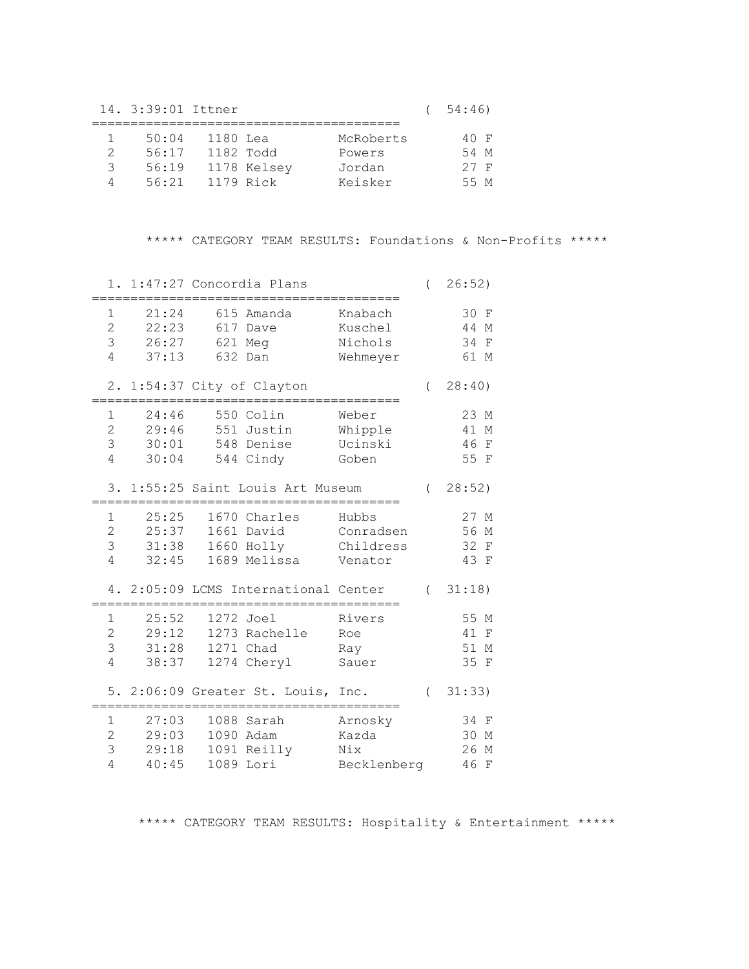14. 3:39:01 Ittner ( 54:46)

|   | 50:04 | 1180 Lea  |             | McRoberts | 40 F |  |
|---|-------|-----------|-------------|-----------|------|--|
|   | 56:17 | 1182 Todd |             | Powers    | 54 M |  |
| २ | 56:19 |           | 1178 Kelsey | Jordan    | 27 F |  |
|   | 56.21 | 1179 Rick |             | Keisker   | 55 M |  |

\*\*\*\*\* CATEGORY TEAM RESULTS: Foundations & Non-Profits \*\*\*\*\*

|                                                                                | 1. 1:47:27 Concordia Plans                                  |                                            | $\left($   | 26:52)                                                      |
|--------------------------------------------------------------------------------|-------------------------------------------------------------|--------------------------------------------|------------|-------------------------------------------------------------|
| 21:24<br>1<br>$\overline{2}$<br>22:23<br>3<br>26:27<br>$\overline{4}$<br>37:13 | 615 Amanda<br>617<br>Dave<br>621 Meg<br>632<br>Dan          | Knabach<br>Kuschel<br>Nichols<br>Wehmeyer  |            | 30 F<br>44<br>М<br>34<br>$\mathbf F$<br>61<br>М             |
|                                                                                | 2. 1:54:37 City of Clayton                                  |                                            | $\left($   | 28:40)                                                      |
| 24:46<br>1<br>$\overline{2}$<br>29:46<br>3<br>30:01<br>4<br>30:04              | 550 Colin<br>551 Justin<br>548<br>Denise<br>544 Cindy       | Weber<br>Whipple<br>Ucinski<br>Goben       |            | 23 M<br>41<br>М<br>46<br>$\mathbf{F}$<br>55 F               |
|                                                                                | 3. 1:55:25 Saint Louis Art Museum                           |                                            | $\sqrt{2}$ | 28:52)                                                      |
| 25:25<br>1<br>2<br>25:37<br>3<br>31:38<br>4<br>32:45                           | 1670 Charles<br>1661<br>David<br>1660 Holly<br>1689 Melissa | Hubbs<br>Conradsen<br>Childress<br>Venator |            | 27 M<br>56<br>М<br>32<br>$\mathbf F$<br>43<br>$\mathbf{F}$  |
| 4. 2:05:09 LCMS                                                                | International Center                                        |                                            |            | (31:18)                                                     |
| 25:52<br>1<br>$\overline{2}$<br>29:12<br>3<br>31:28<br>$\overline{4}$<br>38:37 | 1272 Joel<br>1273 Rachelle<br>1271 Chad<br>1274 Cheryl      | Rivers<br>Roe<br>Ray<br>Sauer              |            | 55 M<br>41<br>$\mathbf F$<br>51<br>М<br>35<br>F             |
|                                                                                | 5. 2:06:09 Greater St. Louis, Inc.                          |                                            | $\left($   | 31:33)                                                      |
| 27:03<br>1<br>$\overline{2}$<br>29:03<br>3<br>29:18<br>4<br>40:45              | 1088 Sarah<br>1090 Adam<br>1091 Reilly<br>Lori<br>1089      | Arnosky<br>Kazda<br>Nix<br>Becklenberg     |            | 34 F<br>30<br>М<br>26<br>$\mathbf{M}$<br>46<br>$\mathbf{F}$ |

\*\*\*\*\* CATEGORY TEAM RESULTS: Hospitality & Entertainment \*\*\*\*\*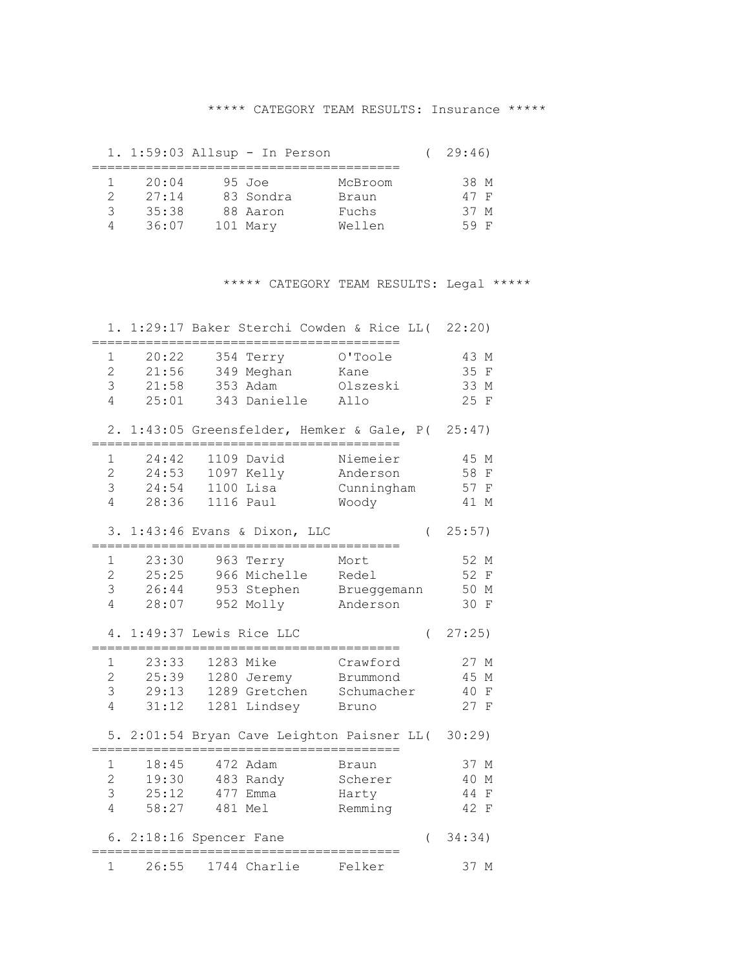#### \*\*\*\*\* CATEGORY TEAM RESULTS: Insurance \*\*\*\*\*

|              | 1. 1:59:03 Allsup - In Person |           |         | 29:46) |
|--------------|-------------------------------|-----------|---------|--------|
|              |                               |           |         |        |
| $\mathbb{R}$ | 20:04                         | 95 Joe    | McBroom | 38 M   |
|              | 27:14                         | 83 Sondra | Braun   | 47 F   |
| २            | 35:38                         | 88 Aaron  | Fuchs   | 37 M   |
|              | 36:07                         | 101 Mary  | Wellen  | 59 F   |

## \*\*\*\*\* CATEGORY TEAM RESULTS: Legal \*\*\*\*\*

| 1.                                                   |                                  |                                                      | 1:29:17 Baker Sterchi Cowden & Rice LL(                              |          | 22:20)                                     |
|------------------------------------------------------|----------------------------------|------------------------------------------------------|----------------------------------------------------------------------|----------|--------------------------------------------|
| 1<br>$\overline{2}$<br>3<br>4                        | 20:22<br>21:56<br>21:58<br>25:01 | 354 Terry<br>349 Meghan<br>353 Adam<br>343 Danielle  | O'Toole<br>Kane<br>Olszeski<br>Allo                                  |          | 43 M<br>35 F<br>33 M<br>25 F               |
|                                                      |                                  |                                                      | 2. 1:43:05 Greensfelder, Hemker & Gale, P( 25:47)                    |          |                                            |
| 1<br>$\overline{2}$<br>3<br>4                        | 24:42<br>24:53<br>24:54<br>28:36 | 1109 David<br>1097 Kelly<br>$1100$ Lisa<br>1116 Paul | Niemeier<br>Anderson<br>Cunningham<br>Woody                          |          | 45 M<br>58 F<br>57 F<br>41 M               |
|                                                      |                                  | 3. 1:43:46 Evans & Dixon, LLC                        |                                                                      | $\left($ | 25:57)                                     |
| 1<br>$\overline{c}$<br>3                             | 23:30<br>25:25<br>28:07          | 963 Terry<br>966 Michelle                            | Mort<br>Redel<br>26:44 953 Stephen Brueggemann<br>952 Molly Anderson |          | 52 M<br>52 F<br>50 M<br>30 F               |
| 4                                                    |                                  |                                                      |                                                                      |          |                                            |
| 4.                                                   |                                  | 1:49:37 Lewis Rice LLC                               |                                                                      | $\left($ | 27:25                                      |
| 1<br>$\overline{2}$<br>3<br>$\overline{4}$           | 23:33<br>25:39<br>29:13<br>31:12 | 1283 Mike<br>1280 Jeremy<br>1281 Lindsey             | Crawford<br>Brummond<br>1289 Gretchen Schumacher<br>Bruno            |          | 27 M<br>45 M<br>40 F<br>27 F               |
|                                                      |                                  |                                                      | 5. 2:01:54 Bryan Cave Leighton Paisner LL(                           |          | 30:29                                      |
| $\mathbf 1$<br>$\overline{2}$<br>3<br>$\overline{4}$ | 18:45<br>19:30<br>25:12<br>58:27 | 472 Adam<br>483 Randy<br>477 Emma<br>481 Mel         | Braun<br>Scherer<br>Harty<br>Remming                                 |          | 37 M<br>40 M<br>44<br>$\mathbf{F}$<br>42 F |
|                                                      |                                  | 6. 2:18:16 Spencer Fane                              |                                                                      | $\left($ | 34:34)                                     |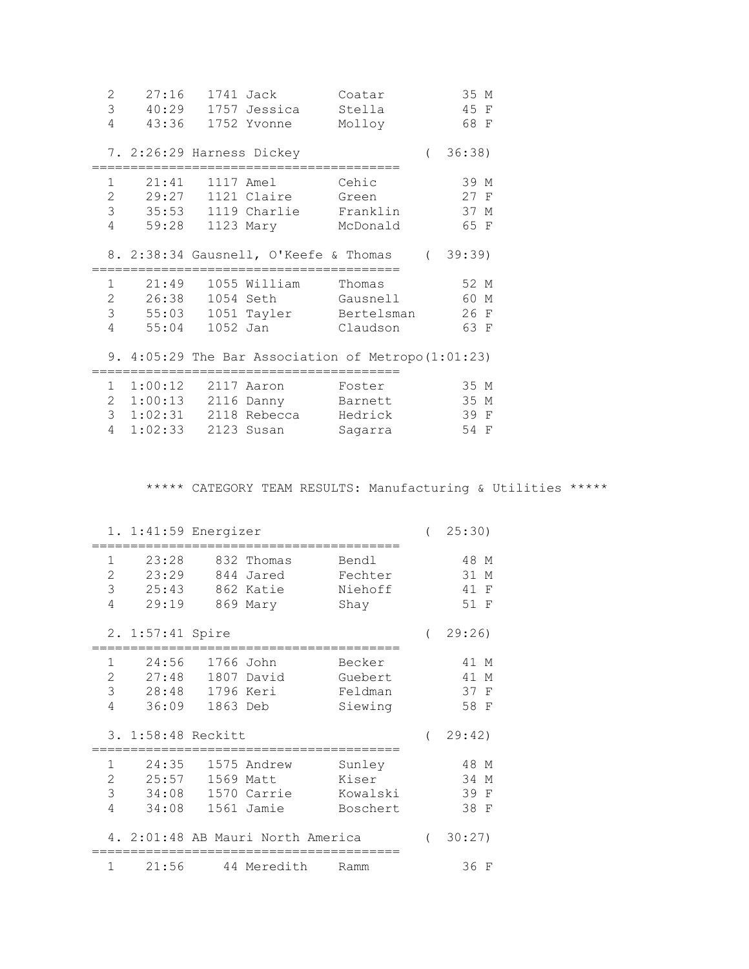| 3<br>40:29 1757 Jessica Stella<br>45 F<br>4<br>43:36 1752 Yvonne<br>68 F<br>Molloy<br>36:38)<br>7. 2:26:29 Harness Dickey<br>$\sqrt{2}$<br>==================== |  |
|-----------------------------------------------------------------------------------------------------------------------------------------------------------------|--|
|                                                                                                                                                                 |  |
|                                                                                                                                                                 |  |
|                                                                                                                                                                 |  |
|                                                                                                                                                                 |  |
|                                                                                                                                                                 |  |
| 21:41<br>$\mathbf 1$<br>39 M<br>1117 Amel Cehic                                                                                                                 |  |
| $\overline{2}$<br>29:27<br>27 F<br>1121 Claire<br>Green                                                                                                         |  |
| 3 35:53 1119 Charlie Franklin<br>37 M                                                                                                                           |  |
| 4<br>59:28 1123 Mary McDonald<br>65 F                                                                                                                           |  |
|                                                                                                                                                                 |  |
| (39:39)<br>8. 2:38:34 Gausnell, O'Keefe & Thomas                                                                                                                |  |
|                                                                                                                                                                 |  |
| $\mathbf 1$<br>21:49<br>52 M<br>1055 William Thomas                                                                                                             |  |
| 2   26:38   1054   Seth   Gausnell<br>60 M                                                                                                                      |  |
| $\mathcal{S}$<br>55:03 1051 Tayler Bertelsman<br>26 F                                                                                                           |  |
| 4<br>55:04<br>63 F<br>1052 Jan<br>Claudson                                                                                                                      |  |
|                                                                                                                                                                 |  |
| 9. $4:05:29$ The Bar Association of Metropo(1:01:23)                                                                                                            |  |
|                                                                                                                                                                 |  |
| 1 1:00:12 2117 Aaron Foster<br>35 M                                                                                                                             |  |
| 2 1:00:13 2116 Danny Barnett<br>35 M                                                                                                                            |  |
| $\mathcal{S}$<br>39 F<br>Hedrick                                                                                                                                |  |

4 1:02:33 2123 Susan Sagarra 54 F

\*\*\*\*\* CATEGORY TEAM RESULTS: Manufacturing & Utilities \*\*\*\*\*

| $1. 1:41:59$ Energizer                                            |                                    |                                                  |                                         | $\left($ | 25:30)                                        |
|-------------------------------------------------------------------|------------------------------------|--------------------------------------------------|-----------------------------------------|----------|-----------------------------------------------|
| 23:28<br>1<br>2<br>23:29<br>3<br>25:43<br>4<br>29:19              |                                    | 832 Thomas<br>844 Jared<br>862 Katie<br>869 Mary | Bendl<br>Fechter<br>Niehoff<br>Shay     |          | 48 M<br>31<br>М<br>41<br>F<br>51 F            |
| 2. 1:57:41 Spire                                                  |                                    |                                                  |                                         |          | 29:26                                         |
| 24:56<br>1<br>$\overline{c}$<br>27:48<br>3<br>28:48<br>36:09<br>4 | 1766 John<br>1796 Keri<br>1863 Deb | 1807 David                                       | Becker<br>Guebert<br>Feldman<br>Siewing |          | 41 M<br>41<br>М<br>37<br>$\mathbf{F}$<br>58 F |
| 3. 1:58:48 Reckitt                                                |                                    |                                                  |                                         |          | 29:42)                                        |
| 24:35<br>1<br>$\overline{c}$<br>25:57<br>3<br>34:08<br>4<br>34:08 | 1569                               | 1575 Andrew<br>Matt<br>1570 Carrie<br>1561 Jamie | Sunley<br>Kiser<br>Kowalski<br>Boschert |          | 48 M<br>34<br>М<br>39<br>F<br>38<br>F         |
| 4. 2:01:48 AB Mauri North America                                 |                                    |                                                  |                                         |          | 30:27)                                        |
| 1<br>21:56                                                        |                                    | 44 Meredith                                      | Ramm                                    |          | 36 F                                          |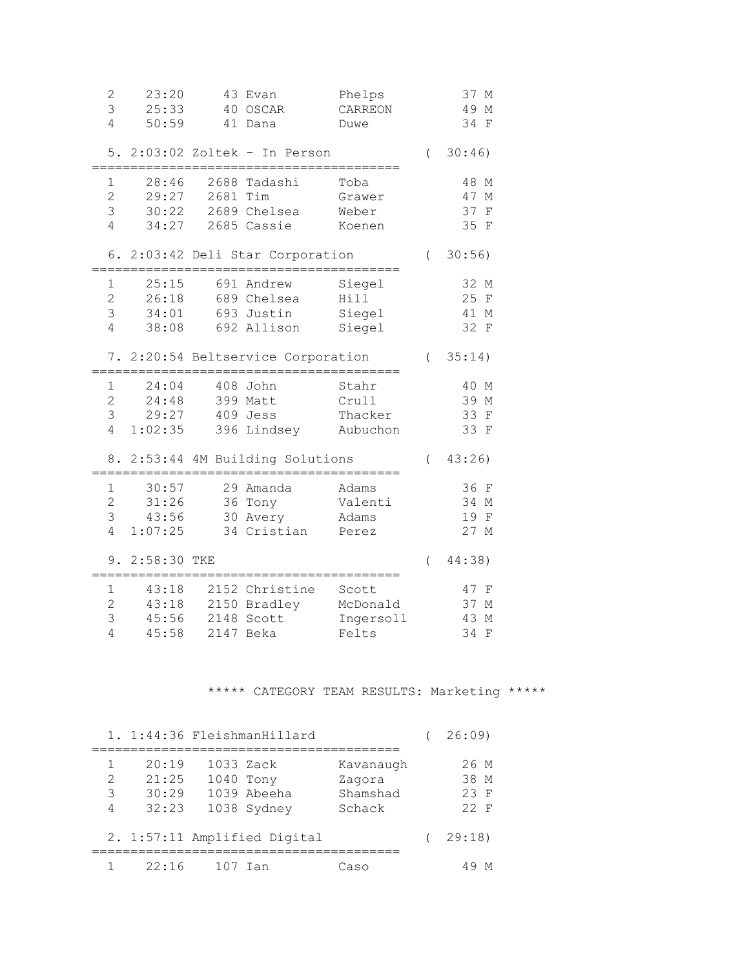| 2<br>3<br>4                                          | 23:20<br>25:33<br>50:59            |          | 43 Evan<br>40 OSCAR<br>41 Dana                               | Phelps<br>CARREON<br>Duwe               |          | 37 M<br>49 M<br>34<br>$\mathbf{F}$         |
|------------------------------------------------------|------------------------------------|----------|--------------------------------------------------------------|-----------------------------------------|----------|--------------------------------------------|
|                                                      |                                    |          | 5. 2:03:02 Zoltek - In Person                                |                                         | $\left($ | 30:46)                                     |
| 1<br>$\overline{2}$<br>3<br>4                        | 28:46<br>29:27<br>30:22            | 2681 Tim | 2688 Tadashi<br>2689 Chelsea<br>34:27 2685 Cassie            | Toba<br>Grawer<br>Weber<br>Koenen       |          | 48 M<br>47 M<br>37<br>$\mathbf{F}$<br>35 F |
|                                                      |                                    |          | 6. 2:03:42 Deli Star Corporation                             |                                         | $\left($ | 30:56)                                     |
| 1<br>$\overline{2}$<br>3<br>$\overline{4}$           | 25:15<br>26:18<br>38:08            |          | 691 Andrew<br>689 Chelsea<br>34:01 693 Justin<br>692 Allison | Siegel<br>Hill<br>Siegel<br>Siegel      |          | 32 M<br>25 F<br>41 M<br>32 F               |
|                                                      |                                    |          | 7. 2:20:54 Beltservice Corporation                           |                                         |          | (35:14)                                    |
| 1<br>$\mathbf{2}$<br>3<br>4                          | 24:04<br>24:48<br>29:27<br>1:02:35 |          | 408 John<br>399 Matt<br>409 Jess<br>396 Lindsey Aubuchon     | Stahr<br>Crull<br>Thacker               |          | 40 M<br>39 M<br>33 F<br>33 F               |
|                                                      |                                    |          | 8. 2:53:44 4M Building Solutions                             |                                         | $\left($ | 43:26                                      |
| $\mathbf 1$<br>$\overline{2}$<br>3<br>$\overline{4}$ | 30:57<br>31:26<br>43:56<br>1:07:25 |          | 29 Amanda<br>36 Tony<br>30 Avery<br>34 Cristian Perez        | Adams<br>Valenti<br>Adams               |          | 36 F<br>34 M<br>19 F<br>27 M               |
|                                                      | 9. 2:58:30 TKE                     |          |                                                              |                                         | $\left($ | 44:38)                                     |
| 1<br>$\overline{2}$<br>3<br>$\overline{4}$           | 43:18<br>43:18<br>45:56<br>45:58   |          | 2152 Christine<br>2150 Bradley<br>2148 Scott<br>2147 Beka    | Scott<br>McDonald<br>Ingersoll<br>Felts |          | 47 F<br>37 M<br>43 M<br>34<br>$\mathbf{F}$ |

# \*\*\*\*\* CATEGORY TEAM RESULTS: Marketing \*\*\*\*\*

|                         |                                  |                        | 1. 1:44:36 FleishmanHillard  |                                           | 26:09                        |
|-------------------------|----------------------------------|------------------------|------------------------------|-------------------------------------------|------------------------------|
| $\mathcal{L}$<br>3<br>4 | 20:19<br>21:25<br>30:29<br>32:23 | 1033 Zack<br>1040 Tony | 1039 Abeeha<br>1038 Sydney   | Kavanaugh<br>Zagora<br>Shamshad<br>Schack | 26 M<br>38 M<br>23 F<br>22 F |
|                         |                                  |                        | 2. 1:57:11 Amplified Digital |                                           | 29:18                        |
|                         | 22:16                            | 107 Ian                |                              | Caso                                      |                              |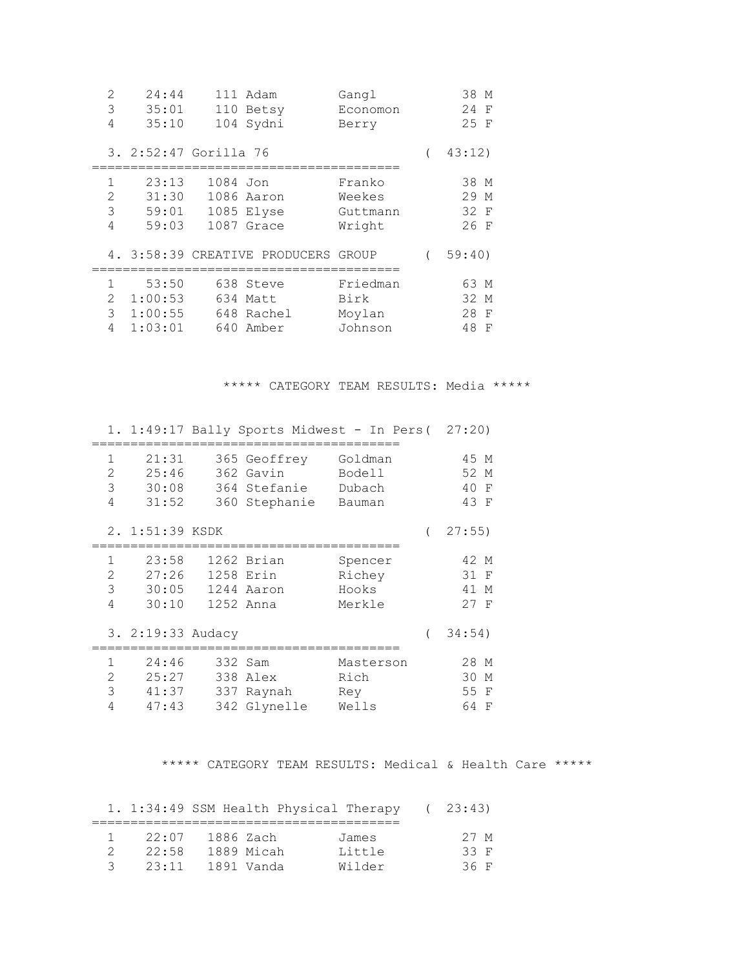| $\overline{2}$ | 24:44                 |          | 111 Adam                            | Gangl    | 38 M    |
|----------------|-----------------------|----------|-------------------------------------|----------|---------|
| 3              | 35:01                 | 110      | Betsy                               | Economon | 24 F    |
| 4              | 35:10                 |          | 104 Sydni                           | Berry    | 25 F    |
|                | 3. 2:52:47 Gorilla 76 |          |                                     |          | 43:12)  |
| $\mathbf{1}$   | 23:13                 | 1084 Jon |                                     | Franko   | 38 M    |
| $\mathcal{D}$  | 31:30                 |          | 1086 Aaron                          | Weekes   | 29 M    |
| 3              | 59:01                 |          | 1085 Elyse                          | Guttmann | 32 F    |
| 4              | 59:03                 |          | 1087 Grace                          | Wright   | 26 F    |
|                |                       |          | 4. 3:58:39 CREATIVE PRODUCERS GROUP |          | 59:40)  |
| 1              | 53:50                 |          | 638 Steve                           | Friedman | 63 M    |
| $\overline{2}$ | 1:00:53               |          | 634 Matt                            | Birk     | 32 M    |
| 3              | 1:00:55               |          | 648 Rachel                          | Moylan   | 28<br>F |
| 4              | 1:03:01               |          | 640 Amber                           | Johnson  | 48<br>F |

\*\*\*\*\* CATEGORY TEAM RESULTS: Media \*\*\*\*\*

|                                            |                                                       | 1. 1:49:17 Bally Sports Midwest - In Pers (27:20)          |                                       |                                        |
|--------------------------------------------|-------------------------------------------------------|------------------------------------------------------------|---------------------------------------|----------------------------------------|
| $\mathbf{1}$<br>2<br>3<br>$\overline{4}$   | 21:31<br>25:46<br>30:08<br>31:52                      | 365 Geoffrey<br>362 Gavin<br>364 Stefanie<br>360 Stephanie | Goldman<br>Bodell<br>Dubach<br>Bauman | 45 M<br>52 M<br>40 F<br>43 F           |
|                                            | 2. 1:51:39 KSDK                                       |                                                            |                                       | 27:55)                                 |
| 1<br>$\overline{2}$<br>3<br>$\overline{4}$ | 23:58<br>27:26<br>30:05<br>30:10<br>3. 2:19:33 Audacy | 1262 Brian<br>1258 Erin<br>1244 Aaron<br>1252 Anna         | Spencer<br>Richey<br>Hooks<br>Merkle  | 42 M<br>31 F<br>41 M<br>27 F<br>34:54) |
|                                            |                                                       |                                                            |                                       |                                        |
| 1<br>2<br>3<br>4                           | 24:46<br>25:27<br>41:37<br>47:43                      | 332 Sam<br>338 Alex<br>337 Raynah<br>342 Glynelle          | Masterson<br>Rich<br>Rey<br>Wells     | 28 M<br>30 M<br>55 F<br>64<br>F        |

\*\*\*\*\* CATEGORY TEAM RESULTS: Medical & Health Care \*\*\*\*\*

|   |       |            | 1. 1:34:49 SSM Health Physical Therapy |        | 23:43) |
|---|-------|------------|----------------------------------------|--------|--------|
|   | 22:07 | 1886 Zach  |                                        | James  | 27 M   |
|   | 22:58 | 1889 Micah |                                        | Little | 33 F   |
| 3 | 23:11 | 1891 Vanda |                                        | Wilder | 36 F   |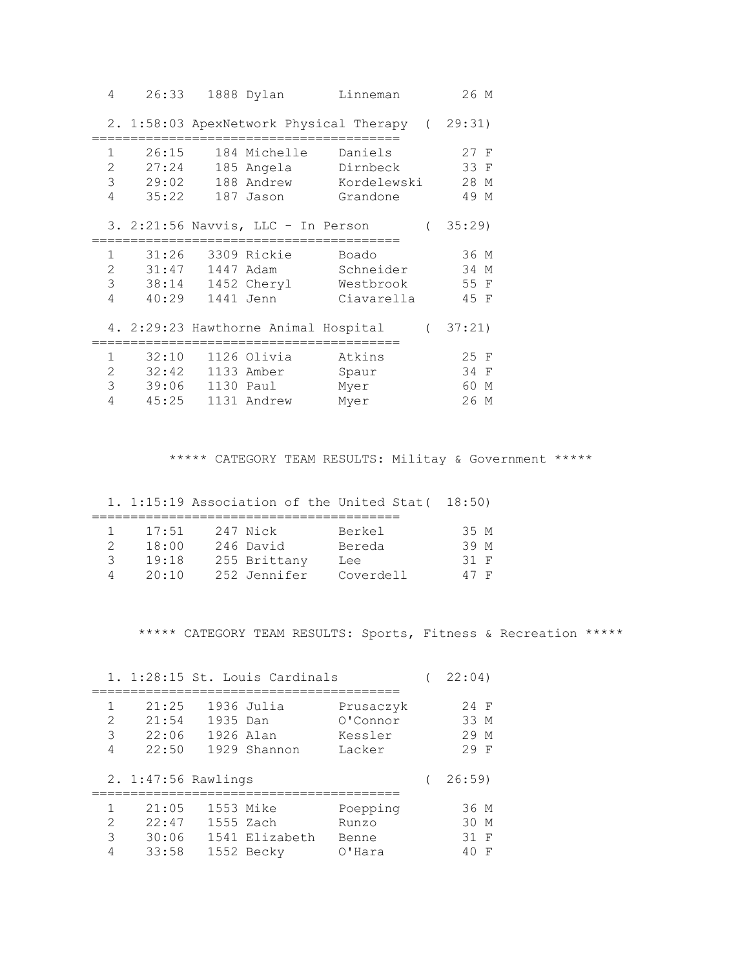| 4                                                     | 26:33                                |                        | 1888 Dylan                                            | Linneman                                        |                  | 26 M                               |
|-------------------------------------------------------|--------------------------------------|------------------------|-------------------------------------------------------|-------------------------------------------------|------------------|------------------------------------|
|                                                       |                                      |                        |                                                       | 2. 1:58:03 ApexNetwork Physical Therapy (29:31) |                  |                                    |
| $\mathbf{1}$<br>$\overline{2}$<br>3<br>$\overline{4}$ | 26:15<br>27:24<br>29:02<br>35:22     |                        | 184 Michelle<br>185 Angela<br>188 Andrew<br>187 Jason | Daniels<br>Dirnbeck<br>Kordelewski<br>Grandone  |                  | $27$ F<br>33 F<br>28 M<br>49 M     |
|                                                       |                                      |                        | 3. 2:21:56 Navvis, LLC - In Person                    |                                                 | $\overline{(\ }$ | 35:29                              |
| $\mathbf{1}$<br>$\overline{2}$<br>3<br>4              | 31:47<br>40:29                       | 1447 Adam<br>1441 Jenn | 31:26 3309 Rickie<br>38:14 1452 Cheryl                | Boado<br>Schneider<br>Westbrook<br>Ciavarella   |                  | 36 M<br>34 M<br>55 F<br>45 F       |
|                                                       |                                      |                        | 4. 2:29:23 Hawthorne Animal Hospital                  |                                                 |                  | (37:21)                            |
| $\mathbf{1}$<br>3<br>$\overline{4}$                   | 32:10<br>2 32:42 1133 Amber<br>45:25 |                        | 1126 Olivia<br>1131 Andrew                            | Atkins<br>Spaur<br>Myer<br>Myer                 |                  | 25 F<br>34 F<br>60<br>М<br>26<br>М |

\*\*\*\*\* CATEGORY TEAM RESULTS: Militay & Government \*\*\*\*\*

|   |       |              | 1. 1:15:19 Association of the United Stat (18:50) |      |  |
|---|-------|--------------|---------------------------------------------------|------|--|
|   |       |              |                                                   |      |  |
|   | 17:51 | 247 Nick     | Berkel                                            | 35 M |  |
| 2 | 18:00 | 246 David    | Bereda                                            | 39 M |  |
| २ | 19:18 | 255 Brittany | Lee                                               | 31 F |  |
| Δ | 20:10 | 252 Jennifer | Coverdell                                         | 47 F |  |

\*\*\*\*\* CATEGORY TEAM RESULTS: Sports, Fitness & Recreation \*\*\*\*\*

|                  |                                  | 1. 1:28:15 St. Louis Cardinals                      |                                            | 22:04)                      |
|------------------|----------------------------------|-----------------------------------------------------|--------------------------------------------|-----------------------------|
| 1<br>2<br>3<br>4 | 21:25<br>21:54<br>22:06<br>22:50 | 1936 Julia<br>1935 Dan<br>1926 Alan<br>1929 Shannon | Prusaczyk<br>O'Connor<br>Kessler<br>Lacker | 24 F<br>33 M<br>29 M<br>29F |
|                  |                                  | 2. 1:47:56 Rawlings                                 |                                            | 26:59                       |
|                  |                                  |                                                     |                                            |                             |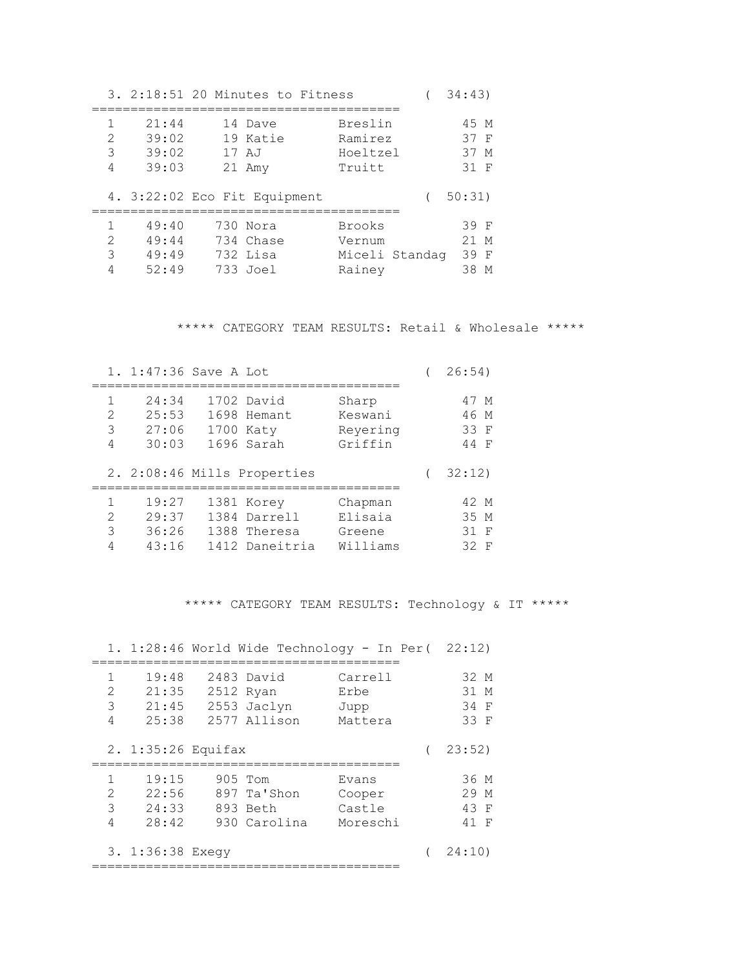|                                                                                                                                                                           |                                  | 3. 2:18:51 20 Minutes to Fitness              |                                              | 34:43                              |
|---------------------------------------------------------------------------------------------------------------------------------------------------------------------------|----------------------------------|-----------------------------------------------|----------------------------------------------|------------------------------------|
| $\mathcal{D}_{\mathcal{A}}^{\mathcal{A}}(\mathcal{A})=\mathcal{D}_{\mathcal{A}}^{\mathcal{A}}(\mathcal{A})\mathcal{D}_{\mathcal{A}}^{\mathcal{A}}(\mathcal{A})$<br>3<br>4 | 21:44<br>39:02<br>39:02<br>39:03 | 14 Dave<br>19 Katie<br>17 AJ<br>21 Amy        | Breslin<br>Ramirez<br>Hoeltzel<br>Truitt     | 45 M<br>37 F<br>37 M<br>31 F       |
|                                                                                                                                                                           |                                  | 4. 3:22:02 Eco Fit Equipment                  |                                              | 50:31)                             |
| $\mathcal{P}$<br>3                                                                                                                                                        | 49:40<br>49:44<br>49:49<br>52:49 | 730 Nora<br>734 Chase<br>732 Lisa<br>733 Joel | Brooks<br>Vernum<br>Miceli Standag<br>Rainey | 39 F<br>$21$ M<br>39 F<br>38.<br>M |

\*\*\*\*\* CATEGORY TEAM RESULTS: Retail & Wholesale \*\*\*\*\*

|                                                                                                                                                                                            | 1. 1:47:36 Save A Lot            |                                                              |                                          | 26:54)                       |
|--------------------------------------------------------------------------------------------------------------------------------------------------------------------------------------------|----------------------------------|--------------------------------------------------------------|------------------------------------------|------------------------------|
| 1<br>$\mathcal{D}_{\mathcal{A}}^{\mathcal{A}}(\mathcal{A})=\mathcal{D}_{\mathcal{A}}^{\mathcal{A}}(\mathcal{A})\mathcal{D}_{\mathcal{A}}^{\mathcal{A}}(\mathcal{A})$<br>3<br>4             | 24:34<br>25:53<br>27:06<br>30:03 | 1702 David<br>1698 Hemant<br>1700 Katy<br>1696 Sarah         | Sharp<br>Keswani<br>Reyering<br>Griffin  | 47 M<br>46 M<br>33 F<br>44 F |
|                                                                                                                                                                                            |                                  | 2. 2:08:46 Mills Properties                                  |                                          | 32:12)                       |
| 1<br>$\mathcal{D}_{\mathcal{A}}^{\mathcal{A}}(\mathcal{A})=\mathcal{D}_{\mathcal{A}}^{\mathcal{A}}(\mathcal{A})\mathcal{D}_{\mathcal{A}}^{\mathcal{A}}(\mathcal{A})$<br>$\mathcal{S}$<br>4 | 19:27<br>29:37<br>36:26<br>43:16 | 1381 Korey<br>1384 Darrell<br>1388 Theresa<br>1412 Daneitria | Chapman<br>Elisaia<br>Greene<br>Williams | 42 M<br>35 M<br>31 F<br>32 F |

\*\*\*\*\* CATEGORY TEAM RESULTS: Technology & IT \*\*\*\*\*

|                               |                                  |                                                        |                             | 1. 1:28:46 World Wide Technology - In Per( | 22:12)                       |
|-------------------------------|----------------------------------|--------------------------------------------------------|-----------------------------|--------------------------------------------|------------------------------|
| 1<br>$\overline{2}$<br>3<br>4 | 19:48<br>21:35<br>21:45<br>25:38 | 2483 David<br>2512 Ryan<br>2553 Jaclyn<br>2577 Allison |                             | Carrell<br>Erbe<br>Jupp<br>Mattera         | 32 M<br>31 M<br>34 F<br>33 F |
|                               | 2. $1:35:26$ Equifax             |                                                        |                             |                                            | 23:52)                       |
| 1<br>$\overline{2}$<br>3<br>4 | 19:15<br>22:56<br>24:33<br>28:42 | 905 Tom<br>893 Beth                                    | 897 Ta'Shon<br>930 Carolina | Evans<br>Cooper<br>Castle<br>Moreschi      | 36 M<br>29 M<br>43 F<br>41 F |
|                               | 3. 1:36:38 Exeqy                 |                                                        | -------------------------   |                                            | 24:10                        |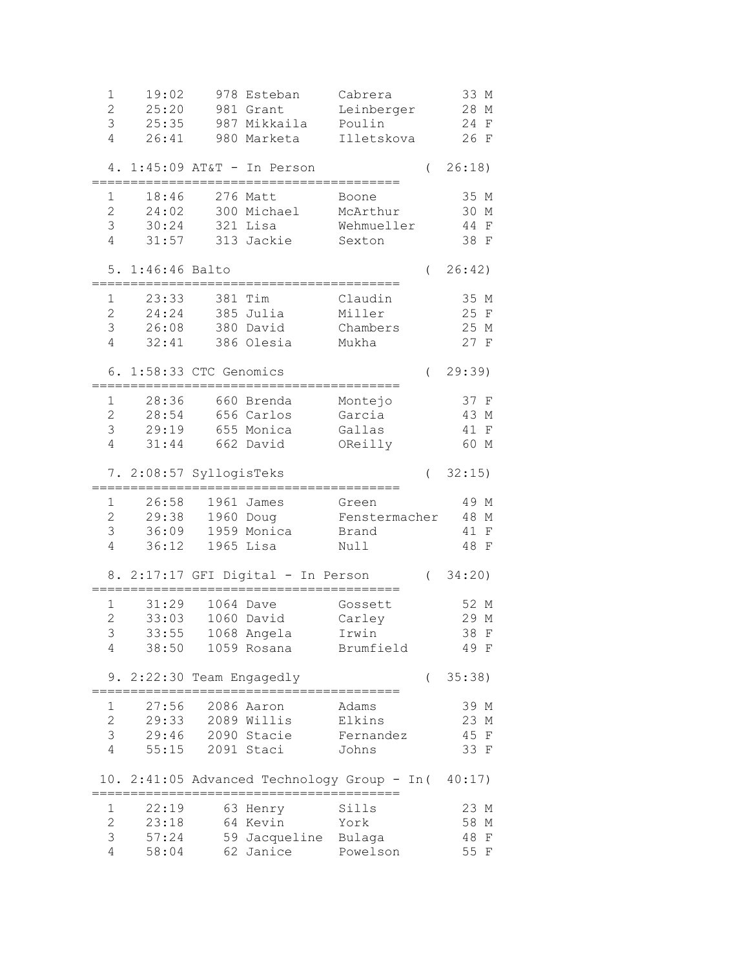| 981 Grant<br>3<br>25:35<br>987 Mikkaila<br>Poulin<br>24<br>F<br>$\overline{4}$<br>26:41<br>26 F<br>980 Marketa<br>Illetskova<br>$1:45:09$ AT&T - In Person<br>26:18)<br>$\left($<br>4.<br>18:46<br>276 Matt<br>35 M<br>1<br>Boone<br>$\overline{2}$<br>24:02<br>300 Michael<br>30 M<br>McArthur<br>3<br>321 Lisa<br>44 F<br>30:24<br>Wehmueller<br>$\overline{4}$<br>31:57<br>313 Jackie<br>38 F<br>Sexton<br>5. 1:46:46 Balto<br>26:42)<br>$\left($<br>23:33<br>381 Tim<br>35 M<br>$\mathbf 1$<br>Claudin<br>$\overline{2}$<br>385 Julia<br>24:24<br>Miller<br>25 F<br>3<br>26:08 380 David<br>Chambers<br>25 M<br>$\overline{4}$<br>32:41<br>27 F<br>386 Olesia<br>Mukha<br>29:39<br>6. 1:58:33 CTC Genomics<br>$\left($<br>28:36<br>660 Brenda<br>37 F<br>1<br>Montejo<br>$\overline{c}$<br>656 Carlos<br>28:54<br>Garcia<br>43 M<br>3<br>29:19<br>655 Monica<br>Gallas<br>41 F<br>$\overline{4}$<br>31:44 662 David<br>OReilly<br>60 M<br>32:15)<br>7. 2:08:57 SyllogisTeks<br>$\left($<br>26:58<br>1961 James<br>1<br>49 M<br>Green<br>$\overline{c}$<br>29:38<br>1960 Doug<br>48 M<br>Fenstermacher<br>3<br>36:09<br>1959 Monica<br>41 F<br>Brand<br>4<br>36:12<br>$1965$ Lisa<br>48 F<br>Null<br>34:20)<br>8. 2:17:17 GFI Digital - In Person<br>$\left($<br>31:29<br>52 M<br>1064 Dave<br>1<br>Gossett<br>$\overline{c}$<br>33:03<br>29 M<br>1060 David<br>Carley<br>3<br>38 F<br>33:55<br>1068 Angela<br>Irwin<br>4<br>38:50<br>Brumfield<br>49 F<br>1059 Rosana<br>2:22:30 Team Engagedly<br>35:38)<br>9.<br>$\left($<br>27:56<br>2086 Aaron<br>39 M<br>Adams<br>1<br>$\overline{2}$<br>29:33<br>2089 Willis<br>Elkins<br>23 M<br>3<br>45 F<br>29:46<br>2090 Stacie<br>Fernandez<br>$\overline{4}$<br>55:15<br>2091 Staci<br>33 F<br>Johns<br>10. 2:41:05 Advanced Technology Group - In( 40:17)<br>1<br>22:19<br>63 Henry<br>Sills<br>23 M<br>$\overline{2}$<br>23:18<br>64 Kevin<br>58 M<br>York<br>3<br>57:24<br>59 Jacqueline Bulaga<br>48<br>$\mathbf F$<br>$\overline{4}$<br>62 Janice<br>58:04<br>Powelson<br>55 F | 1              | 19:02 | 978 Esteban | Cabrera    | 33 M |
|-------------------------------------------------------------------------------------------------------------------------------------------------------------------------------------------------------------------------------------------------------------------------------------------------------------------------------------------------------------------------------------------------------------------------------------------------------------------------------------------------------------------------------------------------------------------------------------------------------------------------------------------------------------------------------------------------------------------------------------------------------------------------------------------------------------------------------------------------------------------------------------------------------------------------------------------------------------------------------------------------------------------------------------------------------------------------------------------------------------------------------------------------------------------------------------------------------------------------------------------------------------------------------------------------------------------------------------------------------------------------------------------------------------------------------------------------------------------------------------------------------------------------------------------------------------------------------------------------------------------------------------------------------------------------------------------------------------------------------------------------------------------------------------------------------------------------------------------------------------------------------------------------------------------------------------------------------------------------------------------------------------------------------------|----------------|-------|-------------|------------|------|
|                                                                                                                                                                                                                                                                                                                                                                                                                                                                                                                                                                                                                                                                                                                                                                                                                                                                                                                                                                                                                                                                                                                                                                                                                                                                                                                                                                                                                                                                                                                                                                                                                                                                                                                                                                                                                                                                                                                                                                                                                                     | $\overline{2}$ | 25:20 |             | Leinberger | 28 M |
|                                                                                                                                                                                                                                                                                                                                                                                                                                                                                                                                                                                                                                                                                                                                                                                                                                                                                                                                                                                                                                                                                                                                                                                                                                                                                                                                                                                                                                                                                                                                                                                                                                                                                                                                                                                                                                                                                                                                                                                                                                     |                |       |             |            |      |
|                                                                                                                                                                                                                                                                                                                                                                                                                                                                                                                                                                                                                                                                                                                                                                                                                                                                                                                                                                                                                                                                                                                                                                                                                                                                                                                                                                                                                                                                                                                                                                                                                                                                                                                                                                                                                                                                                                                                                                                                                                     |                |       |             |            |      |
|                                                                                                                                                                                                                                                                                                                                                                                                                                                                                                                                                                                                                                                                                                                                                                                                                                                                                                                                                                                                                                                                                                                                                                                                                                                                                                                                                                                                                                                                                                                                                                                                                                                                                                                                                                                                                                                                                                                                                                                                                                     |                |       |             |            |      |
|                                                                                                                                                                                                                                                                                                                                                                                                                                                                                                                                                                                                                                                                                                                                                                                                                                                                                                                                                                                                                                                                                                                                                                                                                                                                                                                                                                                                                                                                                                                                                                                                                                                                                                                                                                                                                                                                                                                                                                                                                                     |                |       |             |            |      |
|                                                                                                                                                                                                                                                                                                                                                                                                                                                                                                                                                                                                                                                                                                                                                                                                                                                                                                                                                                                                                                                                                                                                                                                                                                                                                                                                                                                                                                                                                                                                                                                                                                                                                                                                                                                                                                                                                                                                                                                                                                     |                |       |             |            |      |
|                                                                                                                                                                                                                                                                                                                                                                                                                                                                                                                                                                                                                                                                                                                                                                                                                                                                                                                                                                                                                                                                                                                                                                                                                                                                                                                                                                                                                                                                                                                                                                                                                                                                                                                                                                                                                                                                                                                                                                                                                                     |                |       |             |            |      |
|                                                                                                                                                                                                                                                                                                                                                                                                                                                                                                                                                                                                                                                                                                                                                                                                                                                                                                                                                                                                                                                                                                                                                                                                                                                                                                                                                                                                                                                                                                                                                                                                                                                                                                                                                                                                                                                                                                                                                                                                                                     |                |       |             |            |      |
|                                                                                                                                                                                                                                                                                                                                                                                                                                                                                                                                                                                                                                                                                                                                                                                                                                                                                                                                                                                                                                                                                                                                                                                                                                                                                                                                                                                                                                                                                                                                                                                                                                                                                                                                                                                                                                                                                                                                                                                                                                     |                |       |             |            |      |
|                                                                                                                                                                                                                                                                                                                                                                                                                                                                                                                                                                                                                                                                                                                                                                                                                                                                                                                                                                                                                                                                                                                                                                                                                                                                                                                                                                                                                                                                                                                                                                                                                                                                                                                                                                                                                                                                                                                                                                                                                                     |                |       |             |            |      |
|                                                                                                                                                                                                                                                                                                                                                                                                                                                                                                                                                                                                                                                                                                                                                                                                                                                                                                                                                                                                                                                                                                                                                                                                                                                                                                                                                                                                                                                                                                                                                                                                                                                                                                                                                                                                                                                                                                                                                                                                                                     |                |       |             |            |      |
|                                                                                                                                                                                                                                                                                                                                                                                                                                                                                                                                                                                                                                                                                                                                                                                                                                                                                                                                                                                                                                                                                                                                                                                                                                                                                                                                                                                                                                                                                                                                                                                                                                                                                                                                                                                                                                                                                                                                                                                                                                     |                |       |             |            |      |
|                                                                                                                                                                                                                                                                                                                                                                                                                                                                                                                                                                                                                                                                                                                                                                                                                                                                                                                                                                                                                                                                                                                                                                                                                                                                                                                                                                                                                                                                                                                                                                                                                                                                                                                                                                                                                                                                                                                                                                                                                                     |                |       |             |            |      |
|                                                                                                                                                                                                                                                                                                                                                                                                                                                                                                                                                                                                                                                                                                                                                                                                                                                                                                                                                                                                                                                                                                                                                                                                                                                                                                                                                                                                                                                                                                                                                                                                                                                                                                                                                                                                                                                                                                                                                                                                                                     |                |       |             |            |      |
|                                                                                                                                                                                                                                                                                                                                                                                                                                                                                                                                                                                                                                                                                                                                                                                                                                                                                                                                                                                                                                                                                                                                                                                                                                                                                                                                                                                                                                                                                                                                                                                                                                                                                                                                                                                                                                                                                                                                                                                                                                     |                |       |             |            |      |
|                                                                                                                                                                                                                                                                                                                                                                                                                                                                                                                                                                                                                                                                                                                                                                                                                                                                                                                                                                                                                                                                                                                                                                                                                                                                                                                                                                                                                                                                                                                                                                                                                                                                                                                                                                                                                                                                                                                                                                                                                                     |                |       |             |            |      |
|                                                                                                                                                                                                                                                                                                                                                                                                                                                                                                                                                                                                                                                                                                                                                                                                                                                                                                                                                                                                                                                                                                                                                                                                                                                                                                                                                                                                                                                                                                                                                                                                                                                                                                                                                                                                                                                                                                                                                                                                                                     |                |       |             |            |      |
|                                                                                                                                                                                                                                                                                                                                                                                                                                                                                                                                                                                                                                                                                                                                                                                                                                                                                                                                                                                                                                                                                                                                                                                                                                                                                                                                                                                                                                                                                                                                                                                                                                                                                                                                                                                                                                                                                                                                                                                                                                     |                |       |             |            |      |
|                                                                                                                                                                                                                                                                                                                                                                                                                                                                                                                                                                                                                                                                                                                                                                                                                                                                                                                                                                                                                                                                                                                                                                                                                                                                                                                                                                                                                                                                                                                                                                                                                                                                                                                                                                                                                                                                                                                                                                                                                                     |                |       |             |            |      |
|                                                                                                                                                                                                                                                                                                                                                                                                                                                                                                                                                                                                                                                                                                                                                                                                                                                                                                                                                                                                                                                                                                                                                                                                                                                                                                                                                                                                                                                                                                                                                                                                                                                                                                                                                                                                                                                                                                                                                                                                                                     |                |       |             |            |      |
|                                                                                                                                                                                                                                                                                                                                                                                                                                                                                                                                                                                                                                                                                                                                                                                                                                                                                                                                                                                                                                                                                                                                                                                                                                                                                                                                                                                                                                                                                                                                                                                                                                                                                                                                                                                                                                                                                                                                                                                                                                     |                |       |             |            |      |
|                                                                                                                                                                                                                                                                                                                                                                                                                                                                                                                                                                                                                                                                                                                                                                                                                                                                                                                                                                                                                                                                                                                                                                                                                                                                                                                                                                                                                                                                                                                                                                                                                                                                                                                                                                                                                                                                                                                                                                                                                                     |                |       |             |            |      |
|                                                                                                                                                                                                                                                                                                                                                                                                                                                                                                                                                                                                                                                                                                                                                                                                                                                                                                                                                                                                                                                                                                                                                                                                                                                                                                                                                                                                                                                                                                                                                                                                                                                                                                                                                                                                                                                                                                                                                                                                                                     |                |       |             |            |      |
|                                                                                                                                                                                                                                                                                                                                                                                                                                                                                                                                                                                                                                                                                                                                                                                                                                                                                                                                                                                                                                                                                                                                                                                                                                                                                                                                                                                                                                                                                                                                                                                                                                                                                                                                                                                                                                                                                                                                                                                                                                     |                |       |             |            |      |
|                                                                                                                                                                                                                                                                                                                                                                                                                                                                                                                                                                                                                                                                                                                                                                                                                                                                                                                                                                                                                                                                                                                                                                                                                                                                                                                                                                                                                                                                                                                                                                                                                                                                                                                                                                                                                                                                                                                                                                                                                                     |                |       |             |            |      |
|                                                                                                                                                                                                                                                                                                                                                                                                                                                                                                                                                                                                                                                                                                                                                                                                                                                                                                                                                                                                                                                                                                                                                                                                                                                                                                                                                                                                                                                                                                                                                                                                                                                                                                                                                                                                                                                                                                                                                                                                                                     |                |       |             |            |      |
|                                                                                                                                                                                                                                                                                                                                                                                                                                                                                                                                                                                                                                                                                                                                                                                                                                                                                                                                                                                                                                                                                                                                                                                                                                                                                                                                                                                                                                                                                                                                                                                                                                                                                                                                                                                                                                                                                                                                                                                                                                     |                |       |             |            |      |
|                                                                                                                                                                                                                                                                                                                                                                                                                                                                                                                                                                                                                                                                                                                                                                                                                                                                                                                                                                                                                                                                                                                                                                                                                                                                                                                                                                                                                                                                                                                                                                                                                                                                                                                                                                                                                                                                                                                                                                                                                                     |                |       |             |            |      |
|                                                                                                                                                                                                                                                                                                                                                                                                                                                                                                                                                                                                                                                                                                                                                                                                                                                                                                                                                                                                                                                                                                                                                                                                                                                                                                                                                                                                                                                                                                                                                                                                                                                                                                                                                                                                                                                                                                                                                                                                                                     |                |       |             |            |      |
|                                                                                                                                                                                                                                                                                                                                                                                                                                                                                                                                                                                                                                                                                                                                                                                                                                                                                                                                                                                                                                                                                                                                                                                                                                                                                                                                                                                                                                                                                                                                                                                                                                                                                                                                                                                                                                                                                                                                                                                                                                     |                |       |             |            |      |
|                                                                                                                                                                                                                                                                                                                                                                                                                                                                                                                                                                                                                                                                                                                                                                                                                                                                                                                                                                                                                                                                                                                                                                                                                                                                                                                                                                                                                                                                                                                                                                                                                                                                                                                                                                                                                                                                                                                                                                                                                                     |                |       |             |            |      |
|                                                                                                                                                                                                                                                                                                                                                                                                                                                                                                                                                                                                                                                                                                                                                                                                                                                                                                                                                                                                                                                                                                                                                                                                                                                                                                                                                                                                                                                                                                                                                                                                                                                                                                                                                                                                                                                                                                                                                                                                                                     |                |       |             |            |      |
|                                                                                                                                                                                                                                                                                                                                                                                                                                                                                                                                                                                                                                                                                                                                                                                                                                                                                                                                                                                                                                                                                                                                                                                                                                                                                                                                                                                                                                                                                                                                                                                                                                                                                                                                                                                                                                                                                                                                                                                                                                     |                |       |             |            |      |
|                                                                                                                                                                                                                                                                                                                                                                                                                                                                                                                                                                                                                                                                                                                                                                                                                                                                                                                                                                                                                                                                                                                                                                                                                                                                                                                                                                                                                                                                                                                                                                                                                                                                                                                                                                                                                                                                                                                                                                                                                                     |                |       |             |            |      |
|                                                                                                                                                                                                                                                                                                                                                                                                                                                                                                                                                                                                                                                                                                                                                                                                                                                                                                                                                                                                                                                                                                                                                                                                                                                                                                                                                                                                                                                                                                                                                                                                                                                                                                                                                                                                                                                                                                                                                                                                                                     |                |       |             |            |      |
|                                                                                                                                                                                                                                                                                                                                                                                                                                                                                                                                                                                                                                                                                                                                                                                                                                                                                                                                                                                                                                                                                                                                                                                                                                                                                                                                                                                                                                                                                                                                                                                                                                                                                                                                                                                                                                                                                                                                                                                                                                     |                |       |             |            |      |
|                                                                                                                                                                                                                                                                                                                                                                                                                                                                                                                                                                                                                                                                                                                                                                                                                                                                                                                                                                                                                                                                                                                                                                                                                                                                                                                                                                                                                                                                                                                                                                                                                                                                                                                                                                                                                                                                                                                                                                                                                                     |                |       |             |            |      |
|                                                                                                                                                                                                                                                                                                                                                                                                                                                                                                                                                                                                                                                                                                                                                                                                                                                                                                                                                                                                                                                                                                                                                                                                                                                                                                                                                                                                                                                                                                                                                                                                                                                                                                                                                                                                                                                                                                                                                                                                                                     |                |       |             |            |      |
|                                                                                                                                                                                                                                                                                                                                                                                                                                                                                                                                                                                                                                                                                                                                                                                                                                                                                                                                                                                                                                                                                                                                                                                                                                                                                                                                                                                                                                                                                                                                                                                                                                                                                                                                                                                                                                                                                                                                                                                                                                     |                |       |             |            |      |